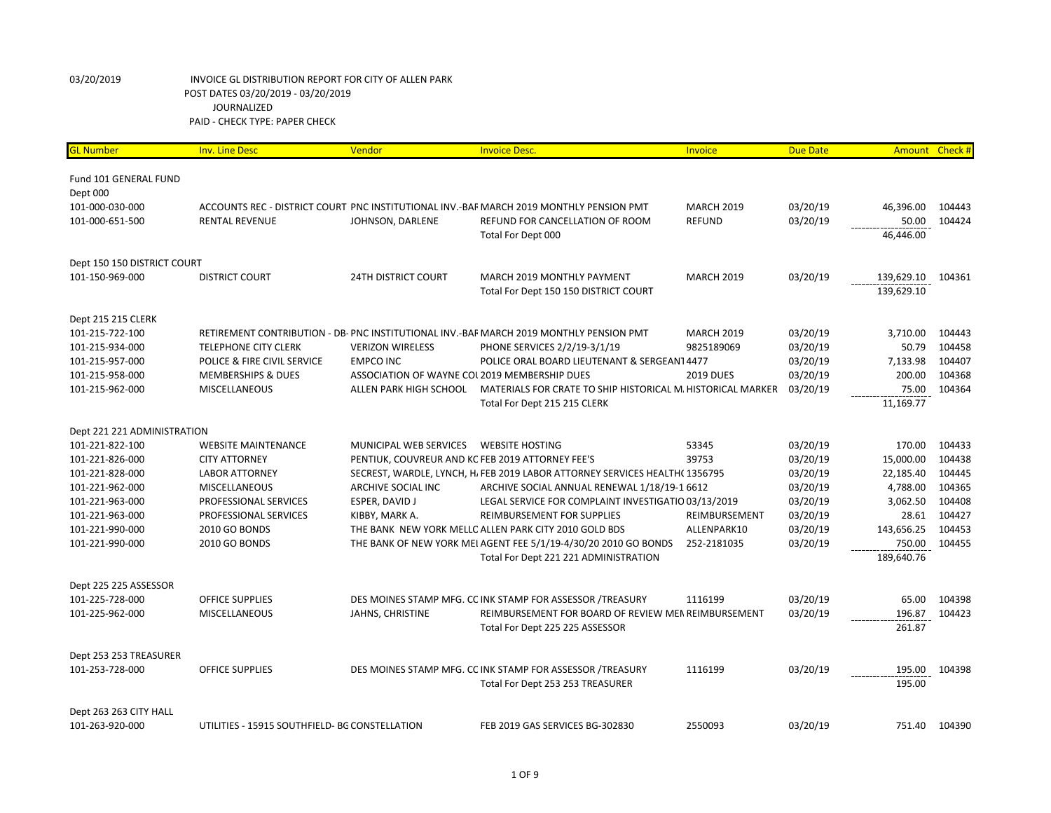| <mark>GL Number</mark>      | <b>Inv. Line Desc</b>                          | Vendor                                        | <b>Invoice Desc.</b>                                                                    | Invoice           | <b>Due Date</b> |            | Amount Check # |
|-----------------------------|------------------------------------------------|-----------------------------------------------|-----------------------------------------------------------------------------------------|-------------------|-----------------|------------|----------------|
|                             |                                                |                                               |                                                                                         |                   |                 |            |                |
| Fund 101 GENERAL FUND       |                                                |                                               |                                                                                         |                   |                 |            |                |
| Dept 000                    |                                                |                                               |                                                                                         |                   |                 |            |                |
| 101-000-030-000             |                                                |                                               | ACCOUNTS REC - DISTRICT COURT PNC INSTITUTIONAL INV.-BAF MARCH 2019 MONTHLY PENSION PMT | <b>MARCH 2019</b> | 03/20/19        | 46,396.00  | 104443         |
| 101-000-651-500             | <b>RENTAL REVENUE</b>                          | JOHNSON, DARLENE                              | REFUND FOR CANCELLATION OF ROOM                                                         | <b>REFUND</b>     | 03/20/19        | 50.00      | 104424         |
|                             |                                                |                                               | Total For Dept 000                                                                      |                   |                 | 46,446.00  |                |
| Dept 150 150 DISTRICT COURT |                                                |                                               |                                                                                         |                   |                 |            |                |
| 101-150-969-000             | <b>DISTRICT COURT</b>                          | <b>24TH DISTRICT COURT</b>                    | MARCH 2019 MONTHLY PAYMENT                                                              | <b>MARCH 2019</b> | 03/20/19        | 139,629.10 | 104361         |
|                             |                                                |                                               | Total For Dept 150 150 DISTRICT COURT                                                   |                   |                 | 139,629.10 |                |
| Dept 215 215 CLERK          |                                                |                                               |                                                                                         |                   |                 |            |                |
| 101-215-722-100             |                                                |                                               | RETIREMENT CONTRIBUTION - DB- PNC INSTITUTIONAL INV.-BAF MARCH 2019 MONTHLY PENSION PMT | <b>MARCH 2019</b> | 03/20/19        | 3,710.00   | 104443         |
| 101-215-934-000             | <b>TELEPHONE CITY CLERK</b>                    | <b>VERIZON WIRELESS</b>                       | PHONE SERVICES 2/2/19-3/1/19                                                            | 9825189069        | 03/20/19        | 50.79      | 104458         |
| 101-215-957-000             | POLICE & FIRE CIVIL SERVICE                    | <b>EMPCO INC</b>                              | POLICE ORAL BOARD LIEUTENANT & SERGEANT 4477                                            |                   | 03/20/19        | 7,133.98   | 104407         |
| 101-215-958-000             | <b>MEMBERSHIPS &amp; DUES</b>                  | ASSOCIATION OF WAYNE COL 2019 MEMBERSHIP DUES |                                                                                         | <b>2019 DUES</b>  | 03/20/19        | 200.00     | 104368         |
| 101-215-962-000             | MISCELLANEOUS                                  | ALLEN PARK HIGH SCHOOL                        | MATERIALS FOR CRATE TO SHIP HISTORICAL M. HISTORICAL MARKER                             |                   | 03/20/19        | 75.00      | 104364         |
|                             |                                                |                                               | Total For Dept 215 215 CLERK                                                            |                   |                 | 11,169.77  |                |
| Dept 221 221 ADMINISTRATION |                                                |                                               |                                                                                         |                   |                 |            |                |
| 101-221-822-100             | <b>WEBSITE MAINTENANCE</b>                     | MUNICIPAL WEB SERVICES                        | <b>WEBSITE HOSTING</b>                                                                  | 53345             | 03/20/19        | 170.00     | 104433         |
| 101-221-826-000             | <b>CITY ATTORNEY</b>                           |                                               | PENTIUK, COUVREUR AND KC FEB 2019 ATTORNEY FEE'S                                        | 39753             | 03/20/19        | 15,000.00  | 104438         |
| 101-221-828-000             | <b>LABOR ATTORNEY</b>                          |                                               | SECREST, WARDLE, LYNCH, H, FEB 2019 LABOR ATTORNEY SERVICES HEALTH(1356795)             |                   | 03/20/19        | 22,185.40  | 104445         |
| 101-221-962-000             | MISCELLANEOUS                                  | ARCHIVE SOCIAL INC                            | ARCHIVE SOCIAL ANNUAL RENEWAL 1/18/19-1 6612                                            |                   | 03/20/19        | 4,788.00   | 104365         |
| 101-221-963-000             | PROFESSIONAL SERVICES                          | ESPER, DAVID J                                | LEGAL SERVICE FOR COMPLAINT INVESTIGATIO 03/13/2019                                     |                   | 03/20/19        | 3,062.50   | 104408         |
| 101-221-963-000             | PROFESSIONAL SERVICES                          | KIBBY, MARK A.                                | <b>REIMBURSEMENT FOR SUPPLIES</b>                                                       | REIMBURSEMENT     | 03/20/19        | 28.61      | 104427         |
| 101-221-990-000             | 2010 GO BONDS                                  |                                               | THE BANK NEW YORK MELLC ALLEN PARK CITY 2010 GOLD BDS                                   | ALLENPARK10       | 03/20/19        | 143,656.25 | 104453         |
| 101-221-990-000             | 2010 GO BONDS                                  |                                               | THE BANK OF NEW YORK MEI AGENT FEE 5/1/19-4/30/20 2010 GO BONDS                         | 252-2181035       | 03/20/19        | 750.00     | 104455         |
|                             |                                                |                                               | Total For Dept 221 221 ADMINISTRATION                                                   |                   |                 | 189,640.76 |                |
| Dept 225 225 ASSESSOR       |                                                |                                               |                                                                                         |                   |                 |            |                |
| 101-225-728-000             | <b>OFFICE SUPPLIES</b>                         |                                               | DES MOINES STAMP MFG. CC INK STAMP FOR ASSESSOR /TREASURY                               | 1116199           | 03/20/19        | 65.00      | 104398         |
| 101-225-962-000             | MISCELLANEOUS                                  | JAHNS, CHRISTINE                              | REIMBURSEMENT FOR BOARD OF REVIEW MEN REIMBURSEMENT                                     |                   | 03/20/19        | 196.87     | 104423         |
|                             |                                                |                                               | Total For Dept 225 225 ASSESSOR                                                         |                   |                 | 261.87     |                |
| Dept 253 253 TREASURER      |                                                |                                               |                                                                                         |                   |                 |            |                |
| 101-253-728-000             | <b>OFFICE SUPPLIES</b>                         |                                               | DES MOINES STAMP MFG. CC INK STAMP FOR ASSESSOR /TREASURY                               | 1116199           | 03/20/19        | 195.00     | 104398         |
|                             |                                                |                                               | Total For Dept 253 253 TREASURER                                                        |                   |                 | 195.00     |                |
| Dept 263 263 CITY HALL      |                                                |                                               |                                                                                         |                   |                 |            |                |
| 101-263-920-000             | UTILITIES - 15915 SOUTHFIELD- BG CONSTELLATION |                                               | FEB 2019 GAS SERVICES BG-302830                                                         | 2550093           | 03/20/19        |            | 751.40 104390  |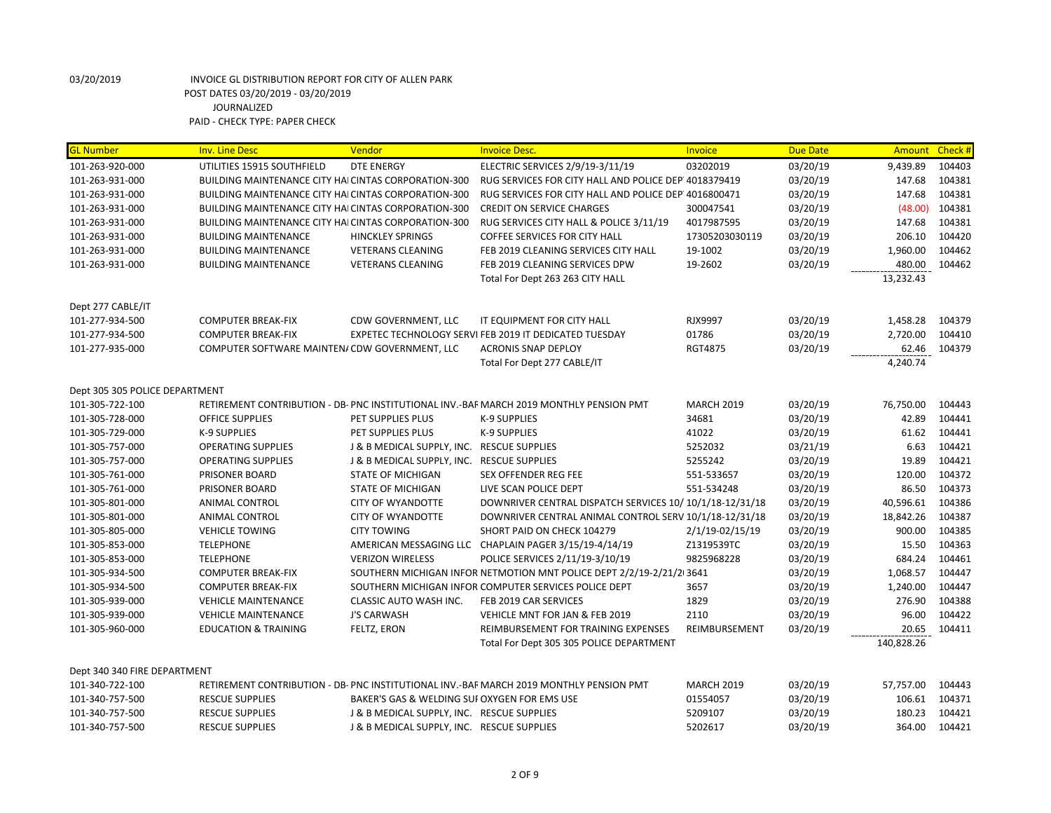| <b>GL Number</b>               | <b>Inv. Line Desc</b>                                       | Vendor                                       | <b>Invoice Desc.</b>                                                                    | Invoice           | <b>Due Date</b> | Amount Check # |        |
|--------------------------------|-------------------------------------------------------------|----------------------------------------------|-----------------------------------------------------------------------------------------|-------------------|-----------------|----------------|--------|
| 101-263-920-000                | UTILITIES 15915 SOUTHFIELD                                  | <b>DTE ENERGY</b>                            | ELECTRIC SERVICES 2/9/19-3/11/19                                                        | 03202019          | 03/20/19        | 9,439.89       | 104403 |
| 101-263-931-000                | <b>BUILDING MAINTENANCE CITY HAI CINTAS CORPORATION-300</b> |                                              | RUG SERVICES FOR CITY HALL AND POLICE DEP 4018379419                                    |                   | 03/20/19        | 147.68         | 104381 |
| 101-263-931-000                | <b>BUILDING MAINTENANCE CITY HAICINTAS CORPORATION-300</b>  |                                              | RUG SERVICES FOR CITY HALL AND POLICE DEP 4016800471                                    |                   | 03/20/19        | 147.68         | 104381 |
| 101-263-931-000                | <b>BUILDING MAINTENANCE CITY HAICINTAS CORPORATION-300</b>  |                                              | <b>CREDIT ON SERVICE CHARGES</b>                                                        | 300047541         | 03/20/19        | (48.00)        | 104381 |
| 101-263-931-000                | <b>BUILDING MAINTENANCE CITY HAI CINTAS CORPORATION-300</b> |                                              | RUG SERVICES CITY HALL & POLICE 3/11/19                                                 | 4017987595        | 03/20/19        | 147.68         | 104381 |
| 101-263-931-000                | <b>BUILDING MAINTENANCE</b>                                 | <b>HINCKLEY SPRINGS</b>                      | COFFEE SERVICES FOR CITY HALL                                                           | 17305203030119    | 03/20/19        | 206.10         | 104420 |
| 101-263-931-000                | <b>BUILDING MAINTENANCE</b>                                 | <b>VETERANS CLEANING</b>                     | FEB 2019 CLEANING SERVICES CITY HALL                                                    | 19-1002           | 03/20/19        | 1,960.00       | 104462 |
| 101-263-931-000                | <b>BUILDING MAINTENANCE</b>                                 | <b>VETERANS CLEANING</b>                     | FEB 2019 CLEANING SERVICES DPW                                                          | 19-2602           | 03/20/19        | 480.00         | 104462 |
|                                |                                                             |                                              | Total For Dept 263 263 CITY HALL                                                        |                   |                 | 13,232.43      |        |
| Dept 277 CABLE/IT              |                                                             |                                              |                                                                                         |                   |                 |                |        |
| 101-277-934-500                | <b>COMPUTER BREAK-FIX</b>                                   | CDW GOVERNMENT, LLC                          | IT EQUIPMENT FOR CITY HALL                                                              | <b>RJX9997</b>    | 03/20/19        | 1,458.28       | 104379 |
| 101-277-934-500                | <b>COMPUTER BREAK-FIX</b>                                   |                                              | EXPETEC TECHNOLOGY SERVI FEB 2019 IT DEDICATED TUESDAY                                  | 01786             | 03/20/19        | 2,720.00       | 104410 |
| 101-277-935-000                | COMPUTER SOFTWARE MAINTEN/ CDW GOVERNMENT, LLC              |                                              | <b>ACRONIS SNAP DEPLOY</b>                                                              | <b>RGT4875</b>    | 03/20/19        | 62.46          | 104379 |
|                                |                                                             |                                              | Total For Dept 277 CABLE/IT                                                             |                   |                 | 4,240.74       |        |
| Dept 305 305 POLICE DEPARTMENT |                                                             |                                              |                                                                                         |                   |                 |                |        |
| 101-305-722-100                |                                                             |                                              | RETIREMENT CONTRIBUTION - DB- PNC INSTITUTIONAL INV.-BAF MARCH 2019 MONTHLY PENSION PMT | <b>MARCH 2019</b> | 03/20/19        | 76,750.00      | 104443 |
| 101-305-728-000                | <b>OFFICE SUPPLIES</b>                                      | PET SUPPLIES PLUS                            | K-9 SUPPLIES                                                                            | 34681             | 03/20/19        | 42.89          | 104441 |
| 101-305-729-000                | K-9 SUPPLIES                                                | PET SUPPLIES PLUS                            | K-9 SUPPLIES                                                                            | 41022             | 03/20/19        | 61.62          | 104441 |
| 101-305-757-000                | <b>OPERATING SUPPLIES</b>                                   | J & B MEDICAL SUPPLY, INC. RESCUE SUPPLIES   |                                                                                         | 5252032           | 03/21/19        | 6.63           | 104421 |
| 101-305-757-000                | <b>OPERATING SUPPLIES</b>                                   | J & B MEDICAL SUPPLY, INC. RESCUE SUPPLIES   |                                                                                         | 5255242           | 03/20/19        | 19.89          | 104421 |
| 101-305-761-000                | PRISONER BOARD                                              | <b>STATE OF MICHIGAN</b>                     | <b>SEX OFFENDER REG FEE</b>                                                             | 551-533657        | 03/20/19        | 120.00         | 104372 |
| 101-305-761-000                | PRISONER BOARD                                              | <b>STATE OF MICHIGAN</b>                     | LIVE SCAN POLICE DEPT                                                                   | 551-534248        | 03/20/19        | 86.50          | 104373 |
| 101-305-801-000                | ANIMAL CONTROL                                              | <b>CITY OF WYANDOTTE</b>                     | DOWNRIVER CENTRAL DISPATCH SERVICES 10/10/1/18-12/31/18                                 |                   | 03/20/19        | 40,596.61      | 104386 |
| 101-305-801-000                | ANIMAL CONTROL                                              | <b>CITY OF WYANDOTTE</b>                     | DOWNRIVER CENTRAL ANIMAL CONTROL SERV 10/1/18-12/31/18                                  |                   | 03/20/19        | 18,842.26      | 104387 |
| 101-305-805-000                | <b>VEHICLE TOWING</b>                                       | <b>CITY TOWING</b>                           | SHORT PAID ON CHECK 104279                                                              | 2/1/19-02/15/19   | 03/20/19        | 900.00         | 104385 |
| 101-305-853-000                | <b>TELEPHONE</b>                                            |                                              | AMERICAN MESSAGING LLC CHAPLAIN PAGER 3/15/19-4/14/19                                   | Z1319539TC        | 03/20/19        | 15.50          | 104363 |
| 101-305-853-000                | <b>TELEPHONE</b>                                            | <b>VERIZON WIRELESS</b>                      | POLICE SERVICES 2/11/19-3/10/19                                                         | 9825968228        | 03/20/19        | 684.24         | 104461 |
| 101-305-934-500                | <b>COMPUTER BREAK-FIX</b>                                   |                                              | SOUTHERN MICHIGAN INFOR NETMOTION MNT POLICE DEPT 2/2/19-2/21/2 3641                    |                   | 03/20/19        | 1,068.57       | 104447 |
| 101-305-934-500                | <b>COMPUTER BREAK-FIX</b>                                   |                                              | SOUTHERN MICHIGAN INFOR COMPUTER SERVICES POLICE DEPT                                   | 3657              | 03/20/19        | 1,240.00       | 104447 |
| 101-305-939-000                | <b>VEHICLE MAINTENANCE</b>                                  | <b>CLASSIC AUTO WASH INC.</b>                | FEB 2019 CAR SERVICES                                                                   | 1829              | 03/20/19        | 276.90         | 104388 |
| 101-305-939-000                | <b>VEHICLE MAINTENANCE</b>                                  | <b>J'S CARWASH</b>                           | VEHICLE MNT FOR JAN & FEB 2019                                                          | 2110              | 03/20/19        | 96.00          | 104422 |
| 101-305-960-000                | <b>EDUCATION &amp; TRAINING</b>                             | FELTZ, ERON                                  | REIMBURSEMENT FOR TRAINING EXPENSES                                                     | REIMBURSEMENT     | 03/20/19        | 20.65          | 104411 |
|                                |                                                             |                                              | Total For Dept 305 305 POLICE DEPARTMENT                                                |                   |                 | 140,828.26     |        |
| Dept 340 340 FIRE DEPARTMENT   |                                                             |                                              |                                                                                         |                   |                 |                |        |
| 101-340-722-100                |                                                             |                                              | RETIREMENT CONTRIBUTION - DB- PNC INSTITUTIONAL INV.-BAF MARCH 2019 MONTHLY PENSION PMT | <b>MARCH 2019</b> | 03/20/19        | 57,757.00      | 104443 |
| 101-340-757-500                | <b>RESCUE SUPPLIES</b>                                      | BAKER'S GAS & WELDING SUI OXYGEN FOR EMS USE |                                                                                         | 01554057          | 03/20/19        | 106.61         | 104371 |
| 101-340-757-500                | <b>RESCUE SUPPLIES</b>                                      | J & B MEDICAL SUPPLY, INC. RESCUE SUPPLIES   |                                                                                         | 5209107           | 03/20/19        | 180.23         | 104421 |
| 101-340-757-500                | <b>RESCUE SUPPLIES</b>                                      | J & B MEDICAL SUPPLY, INC. RESCUE SUPPLIES   |                                                                                         | 5202617           | 03/20/19        | 364.00         | 104421 |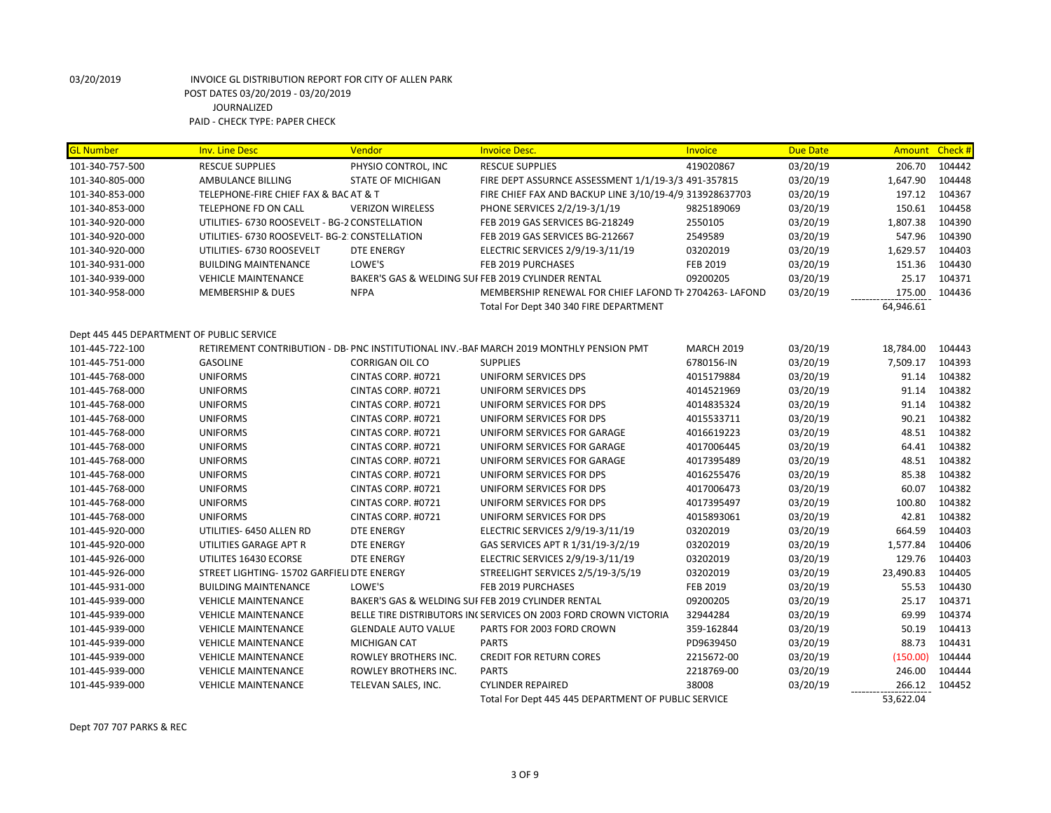| <b>GL Number</b>                                                                                                                                                                                                                                                       | <b>Inv. Line Desc</b>                                                                                                                                                                                                                                                                                                                                                                                            | Vendor                                                                                                                                                                                                                                 | <b>Invoice Desc.</b>                                                                                                                                                                                                                                                                                                                                                                                                                                                                                                                    | Invoice                                                                                                                                                                      | <b>Due Date</b>                                                                                                                                                      | <b>Amount</b>                                                                                                                                          | Check#                                                                                                                                   |
|------------------------------------------------------------------------------------------------------------------------------------------------------------------------------------------------------------------------------------------------------------------------|------------------------------------------------------------------------------------------------------------------------------------------------------------------------------------------------------------------------------------------------------------------------------------------------------------------------------------------------------------------------------------------------------------------|----------------------------------------------------------------------------------------------------------------------------------------------------------------------------------------------------------------------------------------|-----------------------------------------------------------------------------------------------------------------------------------------------------------------------------------------------------------------------------------------------------------------------------------------------------------------------------------------------------------------------------------------------------------------------------------------------------------------------------------------------------------------------------------------|------------------------------------------------------------------------------------------------------------------------------------------------------------------------------|----------------------------------------------------------------------------------------------------------------------------------------------------------------------|--------------------------------------------------------------------------------------------------------------------------------------------------------|------------------------------------------------------------------------------------------------------------------------------------------|
| 101-340-757-500                                                                                                                                                                                                                                                        | <b>RESCUE SUPPLIES</b>                                                                                                                                                                                                                                                                                                                                                                                           | PHYSIO CONTROL, INC                                                                                                                                                                                                                    | <b>RESCUE SUPPLIES</b>                                                                                                                                                                                                                                                                                                                                                                                                                                                                                                                  | 419020867                                                                                                                                                                    | 03/20/19                                                                                                                                                             | 206.70                                                                                                                                                 | 104442                                                                                                                                   |
| 101-340-805-000                                                                                                                                                                                                                                                        | AMBULANCE BILLING                                                                                                                                                                                                                                                                                                                                                                                                | <b>STATE OF MICHIGAN</b>                                                                                                                                                                                                               | FIRE DEPT ASSURNCE ASSESSMENT 1/1/19-3/3 491-357815                                                                                                                                                                                                                                                                                                                                                                                                                                                                                     |                                                                                                                                                                              | 03/20/19                                                                                                                                                             | 1,647.90                                                                                                                                               | 104448                                                                                                                                   |
| 101-340-853-000                                                                                                                                                                                                                                                        | TELEPHONE-FIRE CHIEF FAX & BAC AT & T                                                                                                                                                                                                                                                                                                                                                                            |                                                                                                                                                                                                                                        | FIRE CHIEF FAX AND BACKUP LINE 3/10/19-4/9 313928637703                                                                                                                                                                                                                                                                                                                                                                                                                                                                                 |                                                                                                                                                                              | 03/20/19                                                                                                                                                             | 197.12                                                                                                                                                 | 104367                                                                                                                                   |
| 101-340-853-000                                                                                                                                                                                                                                                        | <b>TELEPHONE FD ON CALL</b>                                                                                                                                                                                                                                                                                                                                                                                      | <b>VERIZON WIRELESS</b>                                                                                                                                                                                                                | PHONE SERVICES 2/2/19-3/1/19                                                                                                                                                                                                                                                                                                                                                                                                                                                                                                            | 9825189069                                                                                                                                                                   | 03/20/19                                                                                                                                                             | 150.61                                                                                                                                                 | 104458                                                                                                                                   |
| 101-340-920-000                                                                                                                                                                                                                                                        | UTILITIES- 6730 ROOSEVELT - BG-2 CONSTELLATION                                                                                                                                                                                                                                                                                                                                                                   |                                                                                                                                                                                                                                        | FEB 2019 GAS SERVICES BG-218249                                                                                                                                                                                                                                                                                                                                                                                                                                                                                                         | 2550105                                                                                                                                                                      | 03/20/19                                                                                                                                                             | 1,807.38                                                                                                                                               | 104390                                                                                                                                   |
| 101-340-920-000                                                                                                                                                                                                                                                        | UTILITIES- 6730 ROOSEVELT- BG-2: CONSTELLATION                                                                                                                                                                                                                                                                                                                                                                   |                                                                                                                                                                                                                                        | FEB 2019 GAS SERVICES BG-212667                                                                                                                                                                                                                                                                                                                                                                                                                                                                                                         | 2549589                                                                                                                                                                      | 03/20/19                                                                                                                                                             | 547.96                                                                                                                                                 | 104390                                                                                                                                   |
| 101-340-920-000                                                                                                                                                                                                                                                        | UTILITIES- 6730 ROOSEVELT                                                                                                                                                                                                                                                                                                                                                                                        | <b>DTE ENERGY</b>                                                                                                                                                                                                                      | ELECTRIC SERVICES 2/9/19-3/11/19                                                                                                                                                                                                                                                                                                                                                                                                                                                                                                        | 03202019                                                                                                                                                                     | 03/20/19                                                                                                                                                             | 1,629.57                                                                                                                                               | 104403                                                                                                                                   |
| 101-340-931-000                                                                                                                                                                                                                                                        | <b>BUILDING MAINTENANCE</b>                                                                                                                                                                                                                                                                                                                                                                                      | LOWE'S                                                                                                                                                                                                                                 | FEB 2019 PURCHASES                                                                                                                                                                                                                                                                                                                                                                                                                                                                                                                      | <b>FEB 2019</b>                                                                                                                                                              | 03/20/19                                                                                                                                                             | 151.36                                                                                                                                                 | 104430                                                                                                                                   |
| 101-340-939-000                                                                                                                                                                                                                                                        | <b>VEHICLE MAINTENANCE</b>                                                                                                                                                                                                                                                                                                                                                                                       |                                                                                                                                                                                                                                        | BAKER'S GAS & WELDING SUI FEB 2019 CYLINDER RENTAL                                                                                                                                                                                                                                                                                                                                                                                                                                                                                      | 09200205                                                                                                                                                                     | 03/20/19                                                                                                                                                             | 25.17                                                                                                                                                  | 104371                                                                                                                                   |
| 101-340-958-000                                                                                                                                                                                                                                                        | <b>MEMBERSHIP &amp; DUES</b>                                                                                                                                                                                                                                                                                                                                                                                     | <b>NFPA</b>                                                                                                                                                                                                                            | MEMBERSHIP RENEWAL FOR CHIEF LAFOND TH 2704263-LAFOND                                                                                                                                                                                                                                                                                                                                                                                                                                                                                   |                                                                                                                                                                              | 03/20/19                                                                                                                                                             | 175.00                                                                                                                                                 | 104436                                                                                                                                   |
|                                                                                                                                                                                                                                                                        |                                                                                                                                                                                                                                                                                                                                                                                                                  |                                                                                                                                                                                                                                        | Total For Dept 340 340 FIRE DEPARTMENT                                                                                                                                                                                                                                                                                                                                                                                                                                                                                                  |                                                                                                                                                                              |                                                                                                                                                                      | 64,946.61                                                                                                                                              |                                                                                                                                          |
| Dept 445 445 DEPARTMENT OF PUBLIC SERVICE                                                                                                                                                                                                                              |                                                                                                                                                                                                                                                                                                                                                                                                                  |                                                                                                                                                                                                                                        |                                                                                                                                                                                                                                                                                                                                                                                                                                                                                                                                         |                                                                                                                                                                              |                                                                                                                                                                      |                                                                                                                                                        |                                                                                                                                          |
| 101-445-722-100                                                                                                                                                                                                                                                        |                                                                                                                                                                                                                                                                                                                                                                                                                  |                                                                                                                                                                                                                                        | RETIREMENT CONTRIBUTION - DB- PNC INSTITUTIONAL INV.-BAF MARCH 2019 MONTHLY PENSION PMT                                                                                                                                                                                                                                                                                                                                                                                                                                                 | <b>MARCH 2019</b>                                                                                                                                                            | 03/20/19                                                                                                                                                             | 18,784.00                                                                                                                                              | 104443                                                                                                                                   |
| 101-445-751-000                                                                                                                                                                                                                                                        | <b>GASOLINE</b>                                                                                                                                                                                                                                                                                                                                                                                                  | <b>CORRIGAN OIL CO</b>                                                                                                                                                                                                                 | <b>SUPPLIES</b>                                                                                                                                                                                                                                                                                                                                                                                                                                                                                                                         | 6780156-IN                                                                                                                                                                   | 03/20/19                                                                                                                                                             | 7,509.17                                                                                                                                               | 104393                                                                                                                                   |
| 101-445-768-000                                                                                                                                                                                                                                                        | <b>UNIFORMS</b>                                                                                                                                                                                                                                                                                                                                                                                                  | CINTAS CORP. #0721                                                                                                                                                                                                                     | UNIFORM SERVICES DPS                                                                                                                                                                                                                                                                                                                                                                                                                                                                                                                    | 4015179884                                                                                                                                                                   | 03/20/19                                                                                                                                                             | 91.14                                                                                                                                                  | 104382                                                                                                                                   |
| 101-445-768-000                                                                                                                                                                                                                                                        | <b>UNIFORMS</b>                                                                                                                                                                                                                                                                                                                                                                                                  | CINTAS CORP. #0721                                                                                                                                                                                                                     | UNIFORM SERVICES DPS                                                                                                                                                                                                                                                                                                                                                                                                                                                                                                                    | 4014521969                                                                                                                                                                   | 03/20/19                                                                                                                                                             | 91.14                                                                                                                                                  | 104382                                                                                                                                   |
| 101-445-768-000                                                                                                                                                                                                                                                        | <b>UNIFORMS</b>                                                                                                                                                                                                                                                                                                                                                                                                  | CINTAS CORP. #0721                                                                                                                                                                                                                     | UNIFORM SERVICES FOR DPS                                                                                                                                                                                                                                                                                                                                                                                                                                                                                                                | 4014835324                                                                                                                                                                   | 03/20/19                                                                                                                                                             | 91.14                                                                                                                                                  | 104382                                                                                                                                   |
| 101-445-768-000                                                                                                                                                                                                                                                        | <b>UNIFORMS</b>                                                                                                                                                                                                                                                                                                                                                                                                  | CINTAS CORP. #0721                                                                                                                                                                                                                     | UNIFORM SERVICES FOR DPS                                                                                                                                                                                                                                                                                                                                                                                                                                                                                                                | 4015533711                                                                                                                                                                   | 03/20/19                                                                                                                                                             | 90.21                                                                                                                                                  | 104382                                                                                                                                   |
|                                                                                                                                                                                                                                                                        | <b>UNIFORMS</b>                                                                                                                                                                                                                                                                                                                                                                                                  | CINTAS CORP. #0721                                                                                                                                                                                                                     | UNIFORM SERVICES FOR GARAGE                                                                                                                                                                                                                                                                                                                                                                                                                                                                                                             | 4016619223                                                                                                                                                                   | 03/20/19                                                                                                                                                             | 48.51                                                                                                                                                  | 104382                                                                                                                                   |
| 101-445-768-000<br>101-445-768-000                                                                                                                                                                                                                                     | <b>UNIFORMS</b>                                                                                                                                                                                                                                                                                                                                                                                                  | CINTAS CORP. #0721                                                                                                                                                                                                                     | UNIFORM SERVICES FOR GARAGE                                                                                                                                                                                                                                                                                                                                                                                                                                                                                                             | 4017006445                                                                                                                                                                   | 03/20/19                                                                                                                                                             | 64.41                                                                                                                                                  | 104382                                                                                                                                   |
| 101-445-768-000                                                                                                                                                                                                                                                        | <b>UNIFORMS</b>                                                                                                                                                                                                                                                                                                                                                                                                  | CINTAS CORP. #0721                                                                                                                                                                                                                     | UNIFORM SERVICES FOR GARAGE                                                                                                                                                                                                                                                                                                                                                                                                                                                                                                             | 4017395489                                                                                                                                                                   | 03/20/19                                                                                                                                                             | 48.51                                                                                                                                                  | 104382                                                                                                                                   |
|                                                                                                                                                                                                                                                                        | <b>UNIFORMS</b>                                                                                                                                                                                                                                                                                                                                                                                                  | CINTAS CORP. #0721                                                                                                                                                                                                                     | UNIFORM SERVICES FOR DPS                                                                                                                                                                                                                                                                                                                                                                                                                                                                                                                | 4016255476                                                                                                                                                                   | 03/20/19                                                                                                                                                             | 85.38                                                                                                                                                  | 104382                                                                                                                                   |
| 101-445-768-000<br>101-445-768-000                                                                                                                                                                                                                                     | <b>UNIFORMS</b>                                                                                                                                                                                                                                                                                                                                                                                                  | CINTAS CORP. #0721                                                                                                                                                                                                                     | UNIFORM SERVICES FOR DPS                                                                                                                                                                                                                                                                                                                                                                                                                                                                                                                | 4017006473                                                                                                                                                                   | 03/20/19                                                                                                                                                             | 60.07                                                                                                                                                  | 104382                                                                                                                                   |
|                                                                                                                                                                                                                                                                        |                                                                                                                                                                                                                                                                                                                                                                                                                  |                                                                                                                                                                                                                                        |                                                                                                                                                                                                                                                                                                                                                                                                                                                                                                                                         |                                                                                                                                                                              |                                                                                                                                                                      |                                                                                                                                                        |                                                                                                                                          |
|                                                                                                                                                                                                                                                                        |                                                                                                                                                                                                                                                                                                                                                                                                                  |                                                                                                                                                                                                                                        |                                                                                                                                                                                                                                                                                                                                                                                                                                                                                                                                         |                                                                                                                                                                              |                                                                                                                                                                      |                                                                                                                                                        |                                                                                                                                          |
|                                                                                                                                                                                                                                                                        |                                                                                                                                                                                                                                                                                                                                                                                                                  |                                                                                                                                                                                                                                        |                                                                                                                                                                                                                                                                                                                                                                                                                                                                                                                                         |                                                                                                                                                                              |                                                                                                                                                                      |                                                                                                                                                        |                                                                                                                                          |
|                                                                                                                                                                                                                                                                        |                                                                                                                                                                                                                                                                                                                                                                                                                  |                                                                                                                                                                                                                                        |                                                                                                                                                                                                                                                                                                                                                                                                                                                                                                                                         |                                                                                                                                                                              |                                                                                                                                                                      |                                                                                                                                                        |                                                                                                                                          |
|                                                                                                                                                                                                                                                                        |                                                                                                                                                                                                                                                                                                                                                                                                                  |                                                                                                                                                                                                                                        |                                                                                                                                                                                                                                                                                                                                                                                                                                                                                                                                         |                                                                                                                                                                              |                                                                                                                                                                      |                                                                                                                                                        |                                                                                                                                          |
|                                                                                                                                                                                                                                                                        |                                                                                                                                                                                                                                                                                                                                                                                                                  |                                                                                                                                                                                                                                        |                                                                                                                                                                                                                                                                                                                                                                                                                                                                                                                                         |                                                                                                                                                                              |                                                                                                                                                                      |                                                                                                                                                        |                                                                                                                                          |
|                                                                                                                                                                                                                                                                        |                                                                                                                                                                                                                                                                                                                                                                                                                  |                                                                                                                                                                                                                                        |                                                                                                                                                                                                                                                                                                                                                                                                                                                                                                                                         |                                                                                                                                                                              |                                                                                                                                                                      |                                                                                                                                                        |                                                                                                                                          |
|                                                                                                                                                                                                                                                                        |                                                                                                                                                                                                                                                                                                                                                                                                                  |                                                                                                                                                                                                                                        |                                                                                                                                                                                                                                                                                                                                                                                                                                                                                                                                         |                                                                                                                                                                              |                                                                                                                                                                      |                                                                                                                                                        |                                                                                                                                          |
|                                                                                                                                                                                                                                                                        |                                                                                                                                                                                                                                                                                                                                                                                                                  |                                                                                                                                                                                                                                        |                                                                                                                                                                                                                                                                                                                                                                                                                                                                                                                                         |                                                                                                                                                                              |                                                                                                                                                                      |                                                                                                                                                        |                                                                                                                                          |
|                                                                                                                                                                                                                                                                        |                                                                                                                                                                                                                                                                                                                                                                                                                  |                                                                                                                                                                                                                                        |                                                                                                                                                                                                                                                                                                                                                                                                                                                                                                                                         |                                                                                                                                                                              |                                                                                                                                                                      |                                                                                                                                                        |                                                                                                                                          |
|                                                                                                                                                                                                                                                                        |                                                                                                                                                                                                                                                                                                                                                                                                                  |                                                                                                                                                                                                                                        |                                                                                                                                                                                                                                                                                                                                                                                                                                                                                                                                         |                                                                                                                                                                              |                                                                                                                                                                      |                                                                                                                                                        |                                                                                                                                          |
|                                                                                                                                                                                                                                                                        |                                                                                                                                                                                                                                                                                                                                                                                                                  |                                                                                                                                                                                                                                        |                                                                                                                                                                                                                                                                                                                                                                                                                                                                                                                                         |                                                                                                                                                                              |                                                                                                                                                                      |                                                                                                                                                        |                                                                                                                                          |
|                                                                                                                                                                                                                                                                        |                                                                                                                                                                                                                                                                                                                                                                                                                  |                                                                                                                                                                                                                                        |                                                                                                                                                                                                                                                                                                                                                                                                                                                                                                                                         |                                                                                                                                                                              |                                                                                                                                                                      |                                                                                                                                                        |                                                                                                                                          |
|                                                                                                                                                                                                                                                                        |                                                                                                                                                                                                                                                                                                                                                                                                                  |                                                                                                                                                                                                                                        |                                                                                                                                                                                                                                                                                                                                                                                                                                                                                                                                         |                                                                                                                                                                              |                                                                                                                                                                      |                                                                                                                                                        |                                                                                                                                          |
|                                                                                                                                                                                                                                                                        |                                                                                                                                                                                                                                                                                                                                                                                                                  |                                                                                                                                                                                                                                        |                                                                                                                                                                                                                                                                                                                                                                                                                                                                                                                                         |                                                                                                                                                                              |                                                                                                                                                                      |                                                                                                                                                        |                                                                                                                                          |
| 101-445-768-000<br>101-445-768-000<br>101-445-920-000<br>101-445-920-000<br>101-445-926-000<br>101-445-926-000<br>101-445-931-000<br>101-445-939-000<br>101-445-939-000<br>101-445-939-000<br>101-445-939-000<br>101-445-939-000<br>101-445-939-000<br>101-445-939-000 | <b>UNIFORMS</b><br><b>UNIFORMS</b><br>UTILITIES- 6450 ALLEN RD<br>UTILITIES GARAGE APT R<br>UTILITES 16430 ECORSE<br>STREET LIGHTING- 15702 GARFIELI DTE ENERGY<br><b>BUILDING MAINTENANCE</b><br><b>VEHICLE MAINTENANCE</b><br><b>VEHICLE MAINTENANCE</b><br><b>VEHICLE MAINTENANCE</b><br><b>VEHICLE MAINTENANCE</b><br><b>VEHICLE MAINTENANCE</b><br><b>VEHICLE MAINTENANCE</b><br><b>VEHICLE MAINTENANCE</b> | CINTAS CORP. #0721<br>CINTAS CORP. #0721<br><b>DTE ENERGY</b><br>DTE ENERGY<br><b>DTE ENERGY</b><br>LOWE'S<br><b>GLENDALE AUTO VALUE</b><br><b>MICHIGAN CAT</b><br>ROWLEY BROTHERS INC.<br>ROWLEY BROTHERS INC.<br>TELEVAN SALES, INC. | UNIFORM SERVICES FOR DPS<br>UNIFORM SERVICES FOR DPS<br>ELECTRIC SERVICES 2/9/19-3/11/19<br>GAS SERVICES APT R 1/31/19-3/2/19<br>ELECTRIC SERVICES 2/9/19-3/11/19<br>STREELIGHT SERVICES 2/5/19-3/5/19<br>FEB 2019 PURCHASES<br>BAKER'S GAS & WELDING SUI FEB 2019 CYLINDER RENTAL<br>BELLE TIRE DISTRIBUTORS IN(SERVICES ON 2003 FORD CROWN VICTORIA<br>PARTS FOR 2003 FORD CROWN<br><b>PARTS</b><br><b>CREDIT FOR RETURN CORES</b><br><b>PARTS</b><br><b>CYLINDER REPAIRED</b><br>Total For Dept 445 445 DEPARTMENT OF PUBLIC SERVICE | 4017395497<br>4015893061<br>03202019<br>03202019<br>03202019<br>03202019<br>FEB 2019<br>09200205<br>32944284<br>359-162844<br>PD9639450<br>2215672-00<br>2218769-00<br>38008 | 03/20/19<br>03/20/19<br>03/20/19<br>03/20/19<br>03/20/19<br>03/20/19<br>03/20/19<br>03/20/19<br>03/20/19<br>03/20/19<br>03/20/19<br>03/20/19<br>03/20/19<br>03/20/19 | 100.80<br>42.81<br>664.59<br>1,577.84<br>129.76<br>23,490.83<br>55.53<br>25.17<br>69.99<br>50.19<br>88.73<br>(150.00)<br>246.00<br>266.12<br>53,622.04 | 104382<br>104382<br>104403<br>104406<br>104403<br>104405<br>104430<br>104371<br>104374<br>104413<br>104431<br>104444<br>104444<br>104452 |

Dept 707 707 PARKS & REC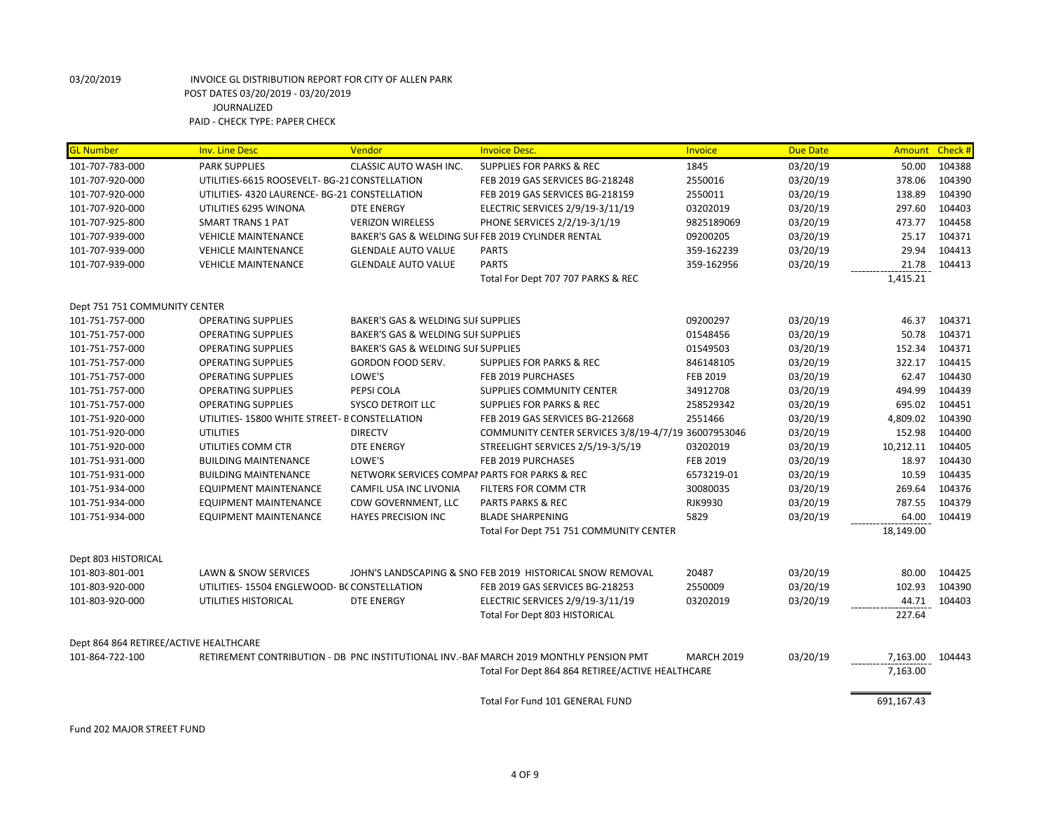| <b>GL Number</b>                       | <b>Inv. Line Desc</b>                         | Vendor                             | <b>Invoice Desc.</b>                                                                   | <b>Invoice</b>    | <b>Due Date</b> | Amount Check # |        |
|----------------------------------------|-----------------------------------------------|------------------------------------|----------------------------------------------------------------------------------------|-------------------|-----------------|----------------|--------|
| 101-707-783-000                        | <b>PARK SUPPLIES</b>                          | <b>CLASSIC AUTO WASH INC.</b>      | <b>SUPPLIES FOR PARKS &amp; REC</b>                                                    | 1845              | 03/20/19        | 50.00          | 104388 |
| 101-707-920-000                        | UTILITIES-6615 ROOSEVELT- BG-21 CONSTELLATION |                                    | FEB 2019 GAS SERVICES BG-218248                                                        | 2550016           | 03/20/19        | 378.06         | 104390 |
| 101-707-920-000                        | UTILITIES- 4320 LAURENCE- BG-21 CONSTELLATION |                                    | FEB 2019 GAS SERVICES BG-218159                                                        | 2550011           | 03/20/19        | 138.89         | 104390 |
| 101-707-920-000                        | UTILITIES 6295 WINONA                         | <b>DTE ENERGY</b>                  | ELECTRIC SERVICES 2/9/19-3/11/19                                                       | 03202019          | 03/20/19        | 297.60         | 104403 |
| 101-707-925-800                        | <b>SMART TRANS 1 PAT</b>                      | <b>VERIZON WIRELESS</b>            | PHONE SERVICES 2/2/19-3/1/19                                                           | 9825189069        | 03/20/19        | 473.77         | 104458 |
| 101-707-939-000                        | <b>VEHICLE MAINTENANCE</b>                    |                                    | BAKER'S GAS & WELDING SUI FEB 2019 CYLINDER RENTAL                                     | 09200205          | 03/20/19        | 25.17          | 104371 |
| 101-707-939-000                        | <b>VEHICLE MAINTENANCE</b>                    | <b>GLENDALE AUTO VALUE</b>         | <b>PARTS</b>                                                                           | 359-162239        | 03/20/19        | 29.94          | 104413 |
| 101-707-939-000                        | <b>VEHICLE MAINTENANCE</b>                    | <b>GLENDALE AUTO VALUE</b>         | <b>PARTS</b>                                                                           | 359-162956        | 03/20/19        | 21.78          | 104413 |
|                                        |                                               |                                    | Total For Dept 707 707 PARKS & REC                                                     |                   |                 | 1,415.21       |        |
| Dept 751 751 COMMUNITY CENTER          |                                               |                                    |                                                                                        |                   |                 |                |        |
| 101-751-757-000                        | <b>OPERATING SUPPLIES</b>                     | BAKER'S GAS & WELDING SUI SUPPLIES |                                                                                        | 09200297          | 03/20/19        | 46.37          | 104371 |
| 101-751-757-000                        | <b>OPERATING SUPPLIES</b>                     | BAKER'S GAS & WELDING SUI SUPPLIES |                                                                                        | 01548456          | 03/20/19        | 50.78          | 104371 |
| 101-751-757-000                        | <b>OPERATING SUPPLIES</b>                     | BAKER'S GAS & WELDING SUI SUPPLIES |                                                                                        | 01549503          | 03/20/19        | 152.34         | 104371 |
| 101-751-757-000                        | <b>OPERATING SUPPLIES</b>                     | GORDON FOOD SERV.                  | <b>SUPPLIES FOR PARKS &amp; REC</b>                                                    | 846148105         | 03/20/19        | 322.17         | 104415 |
| 101-751-757-000                        | <b>OPERATING SUPPLIES</b>                     | LOWE'S                             | FEB 2019 PURCHASES                                                                     | FEB 2019          | 03/20/19        | 62.47          | 104430 |
| 101-751-757-000                        | <b>OPERATING SUPPLIES</b>                     | PEPSI COLA                         | <b>SUPPLIES COMMUNITY CENTER</b>                                                       | 34912708          | 03/20/19        | 494.99         | 104439 |
| 101-751-757-000                        | <b>OPERATING SUPPLIES</b>                     | <b>SYSCO DETROIT LLC</b>           | <b>SUPPLIES FOR PARKS &amp; REC</b>                                                    | 258529342         | 03/20/19        | 695.02         | 104451 |
| 101-751-920-000                        | UTILITIES-15800 WHITE STREET- B CONSTELLATION |                                    | FEB 2019 GAS SERVICES BG-212668                                                        | 2551466           | 03/20/19        | 4,809.02       | 104390 |
| 101-751-920-000                        | <b>UTILITIES</b>                              | <b>DIRECTV</b>                     | COMMUNITY CENTER SERVICES 3/8/19-4/7/19 36007953046                                    |                   | 03/20/19        | 152.98         | 104400 |
| 101-751-920-000                        | UTILITIES COMM CTR                            | <b>DTE ENERGY</b>                  | STREELIGHT SERVICES 2/5/19-3/5/19                                                      | 03202019          | 03/20/19        | 10,212.11      | 104405 |
| 101-751-931-000                        | <b>BUILDING MAINTENANCE</b>                   | LOWE'S                             | FEB 2019 PURCHASES                                                                     | <b>FEB 2019</b>   | 03/20/19        | 18.97          | 104430 |
| 101-751-931-000                        | <b>BUILDING MAINTENANCE</b>                   |                                    | NETWORK SERVICES COMPAI PARTS FOR PARKS & REC                                          | 6573219-01        | 03/20/19        | 10.59          | 104435 |
| 101-751-934-000                        | <b>EQUIPMENT MAINTENANCE</b>                  | CAMFIL USA INC LIVONIA             | FILTERS FOR COMM CTR                                                                   | 30080035          | 03/20/19        | 269.64         | 104376 |
| 101-751-934-000                        | EQUIPMENT MAINTENANCE                         | CDW GOVERNMENT, LLC                | <b>PARTS PARKS &amp; REC</b>                                                           | <b>RJK9930</b>    | 03/20/19        | 787.55         | 104379 |
| 101-751-934-000                        | EQUIPMENT MAINTENANCE                         | <b>HAYES PRECISION INC</b>         | <b>BLADE SHARPENING</b>                                                                | 5829              | 03/20/19        | 64.00          | 104419 |
|                                        |                                               |                                    | Total For Dept 751 751 COMMUNITY CENTER                                                |                   |                 | 18,149.00      |        |
| Dept 803 HISTORICAL                    |                                               |                                    |                                                                                        |                   |                 |                |        |
| 101-803-801-001                        | <b>LAWN &amp; SNOW SERVICES</b>               |                                    | JOHN'S LANDSCAPING & SNO FEB 2019 HISTORICAL SNOW REMOVAL                              | 20487             | 03/20/19        | 80.00          | 104425 |
| 101-803-920-000                        | UTILITIES-15504 ENGLEWOOD-BC CONSTELLATION    |                                    | FEB 2019 GAS SERVICES BG-218253                                                        | 2550009           | 03/20/19        | 102.93         | 104390 |
| 101-803-920-000                        | UTILITIES HISTORICAL                          | <b>DTE ENERGY</b>                  | ELECTRIC SERVICES 2/9/19-3/11/19                                                       | 03202019          | 03/20/19        | 44.71          | 104403 |
|                                        |                                               |                                    | Total For Dept 803 HISTORICAL                                                          |                   |                 | 227.64         |        |
| Dept 864 864 RETIREE/ACTIVE HEALTHCARE |                                               |                                    |                                                                                        |                   |                 |                |        |
| 101-864-722-100                        |                                               |                                    | RETIREMENT CONTRIBUTION - DB PNC INSTITUTIONAL INV.-BAF MARCH 2019 MONTHLY PENSION PMT | <b>MARCH 2019</b> | 03/20/19        | 7,163.00       | 104443 |
|                                        |                                               |                                    | Total For Dept 864 864 RETIREE/ACTIVE HEALTHCARE                                       |                   |                 | 7,163.00       |        |
|                                        |                                               |                                    | Total For Fund 101 GENERAL FUND                                                        |                   |                 | 691,167.43     |        |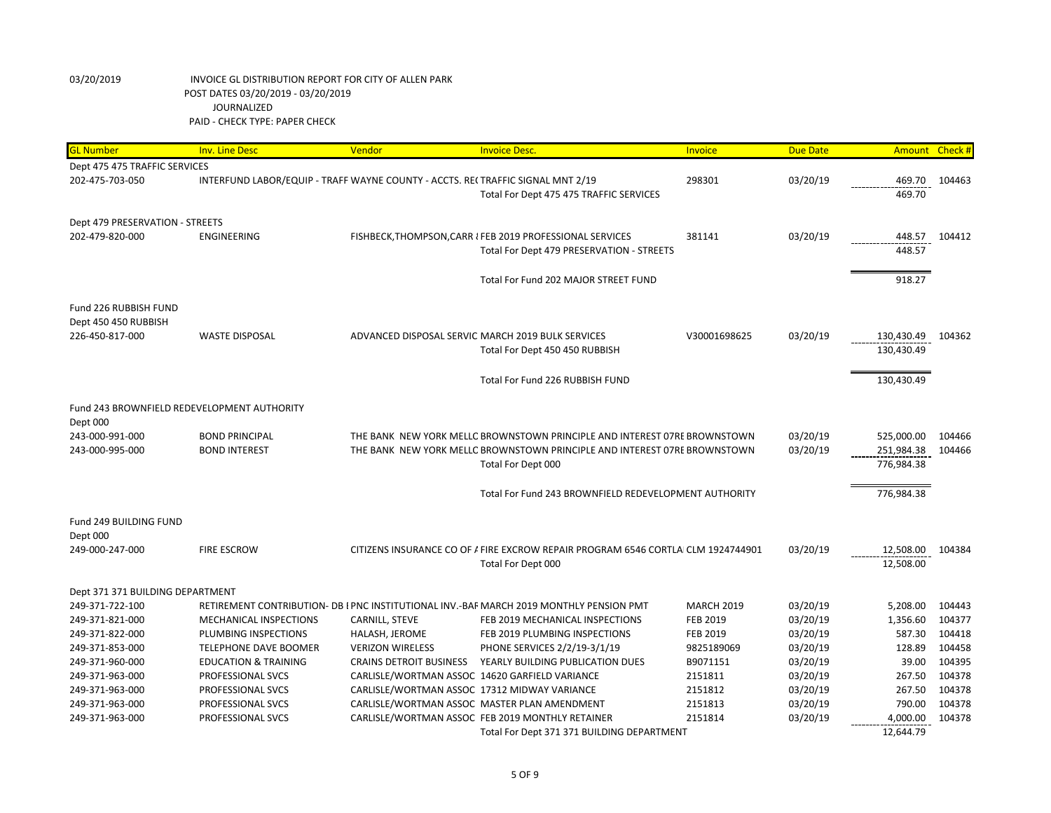| <b>GL Number</b>                 | <b>Inv. Line Desc</b>                       | Vendor                                                                          | <b>Invoice Desc.</b>                                                                    | Invoice           | <b>Due Date</b> |            | Amount Check # |
|----------------------------------|---------------------------------------------|---------------------------------------------------------------------------------|-----------------------------------------------------------------------------------------|-------------------|-----------------|------------|----------------|
| Dept 475 475 TRAFFIC SERVICES    |                                             |                                                                                 |                                                                                         |                   |                 |            |                |
| 202-475-703-050                  |                                             | INTERFUND LABOR/EQUIP - TRAFF WAYNE COUNTY - ACCTS. REI TRAFFIC SIGNAL MNT 2/19 |                                                                                         | 298301            | 03/20/19        | 469.70     | 104463         |
|                                  |                                             |                                                                                 | Total For Dept 475 475 TRAFFIC SERVICES                                                 |                   |                 | 469.70     |                |
|                                  |                                             |                                                                                 |                                                                                         |                   |                 |            |                |
| Dept 479 PRESERVATION - STREETS  |                                             |                                                                                 |                                                                                         |                   |                 |            |                |
| 202-479-820-000                  | <b>ENGINEERING</b>                          |                                                                                 | FISHBECK, THOMPSON, CARR I FEB 2019 PROFESSIONAL SERVICES                               | 381141            | 03/20/19        | 448.57     | 104412         |
|                                  |                                             |                                                                                 | Total For Dept 479 PRESERVATION - STREETS                                               |                   |                 | 448.57     |                |
|                                  |                                             |                                                                                 |                                                                                         |                   |                 |            |                |
|                                  |                                             |                                                                                 | Total For Fund 202 MAJOR STREET FUND                                                    |                   |                 | 918.27     |                |
|                                  |                                             |                                                                                 |                                                                                         |                   |                 |            |                |
| Fund 226 RUBBISH FUND            |                                             |                                                                                 |                                                                                         |                   |                 |            |                |
| Dept 450 450 RUBBISH             |                                             |                                                                                 |                                                                                         |                   |                 |            |                |
| 226-450-817-000                  | <b>WASTE DISPOSAL</b>                       |                                                                                 | ADVANCED DISPOSAL SERVIC MARCH 2019 BULK SERVICES                                       | V30001698625      | 03/20/19        | 130,430.49 | 104362         |
|                                  |                                             |                                                                                 | Total For Dept 450 450 RUBBISH                                                          |                   |                 | 130,430.49 |                |
|                                  |                                             |                                                                                 |                                                                                         |                   |                 |            |                |
|                                  |                                             |                                                                                 | Total For Fund 226 RUBBISH FUND                                                         |                   |                 | 130,430.49 |                |
|                                  | Fund 243 BROWNFIELD REDEVELOPMENT AUTHORITY |                                                                                 |                                                                                         |                   |                 |            |                |
| Dept 000                         |                                             |                                                                                 |                                                                                         |                   |                 |            |                |
| 243-000-991-000                  | <b>BOND PRINCIPAL</b>                       |                                                                                 | THE BANK NEW YORK MELLC BROWNSTOWN PRINCIPLE AND INTEREST 07RE BROWNSTOWN               |                   | 03/20/19        | 525,000.00 | 104466         |
| 243-000-995-000                  | <b>BOND INTEREST</b>                        |                                                                                 | THE BANK NEW YORK MELLC BROWNSTOWN PRINCIPLE AND INTEREST 07RE BROWNSTOWN               |                   | 03/20/19        | 251,984.38 | 104466         |
|                                  |                                             |                                                                                 | Total For Dept 000                                                                      |                   |                 | 776,984.38 |                |
|                                  |                                             |                                                                                 |                                                                                         |                   |                 |            |                |
|                                  |                                             |                                                                                 | Total For Fund 243 BROWNFIELD REDEVELOPMENT AUTHORITY                                   |                   |                 | 776,984.38 |                |
|                                  |                                             |                                                                                 |                                                                                         |                   |                 |            |                |
| Fund 249 BUILDING FUND           |                                             |                                                                                 |                                                                                         |                   |                 |            |                |
| Dept 000                         |                                             |                                                                                 |                                                                                         |                   |                 |            |                |
| 249-000-247-000                  | <b>FIRE ESCROW</b>                          |                                                                                 | CITIZENS INSURANCE CO OF / FIRE EXCROW REPAIR PROGRAM 6546 CORTLA CLM 1924744901        |                   | 03/20/19        | 12,508.00  | 104384         |
|                                  |                                             |                                                                                 | Total For Dept 000                                                                      |                   |                 | 12,508.00  |                |
|                                  |                                             |                                                                                 |                                                                                         |                   |                 |            |                |
| Dept 371 371 BUILDING DEPARTMENT |                                             |                                                                                 |                                                                                         |                   |                 |            |                |
| 249-371-722-100                  |                                             |                                                                                 | RETIREMENT CONTRIBUTION- DB I PNC INSTITUTIONAL INV.-BAF MARCH 2019 MONTHLY PENSION PMT | <b>MARCH 2019</b> | 03/20/19        | 5,208.00   | 104443         |
| 249-371-821-000                  | MECHANICAL INSPECTIONS                      | CARNILL, STEVE                                                                  | FEB 2019 MECHANICAL INSPECTIONS                                                         | FEB 2019          | 03/20/19        | 1,356.60   | 104377         |
| 249-371-822-000                  | PLUMBING INSPECTIONS                        | HALASH, JEROME                                                                  | FEB 2019 PLUMBING INSPECTIONS                                                           | <b>FEB 2019</b>   | 03/20/19        | 587.30     | 104418         |
| 249-371-853-000                  | <b>TELEPHONE DAVE BOOMER</b>                | <b>VERIZON WIRELESS</b>                                                         | PHONE SERVICES 2/2/19-3/1/19                                                            | 9825189069        | 03/20/19        | 128.89     | 104458         |
| 249-371-960-000                  | <b>EDUCATION &amp; TRAINING</b>             | <b>CRAINS DETROIT BUSINESS</b>                                                  | YEARLY BUILDING PUBLICATION DUES                                                        | B9071151          | 03/20/19        | 39.00      | 104395         |
| 249-371-963-000                  | PROFESSIONAL SVCS                           |                                                                                 | CARLISLE/WORTMAN ASSOC 14620 GARFIELD VARIANCE                                          | 2151811           | 03/20/19        | 267.50     | 104378         |
| 249-371-963-000                  | PROFESSIONAL SVCS                           | CARLISLE/WORTMAN ASSOC 17312 MIDWAY VARIANCE                                    |                                                                                         | 2151812           | 03/20/19        | 267.50     | 104378         |
| 249-371-963-000                  | PROFESSIONAL SVCS                           |                                                                                 | CARLISLE/WORTMAN ASSOC MASTER PLAN AMENDMENT                                            | 2151813           | 03/20/19        | 790.00     | 104378         |
| 249-371-963-000                  | PROFESSIONAL SVCS                           |                                                                                 | CARLISLE/WORTMAN ASSOC FEB 2019 MONTHLY RETAINER                                        | 2151814           | 03/20/19        | 4,000.00   | 104378         |
|                                  |                                             |                                                                                 | Total For Dept 371 371 BUILDING DEPARTMENT                                              |                   |                 | 12,644.79  |                |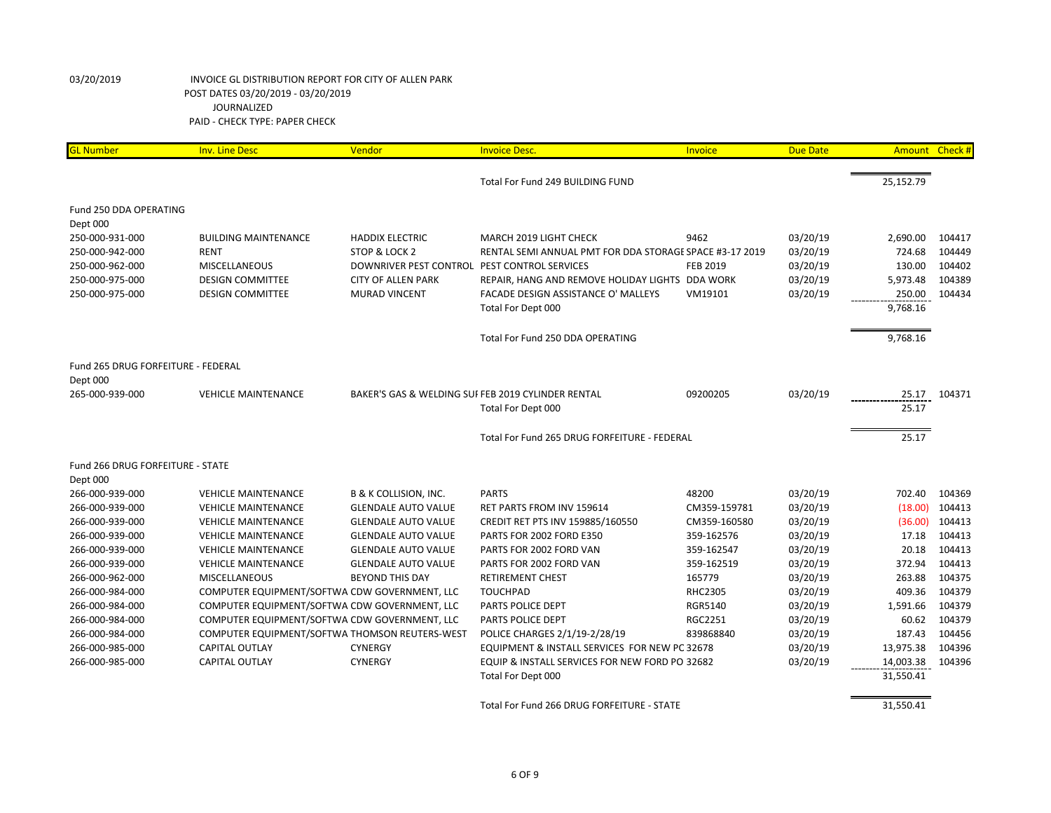| <b>GL Number</b>                   | <b>Inv. Line Desc</b>                          | Vendor                                       | <b>Invoice Desc.</b>                                    | Invoice         | <b>Due Date</b> | Amount Check # |        |
|------------------------------------|------------------------------------------------|----------------------------------------------|---------------------------------------------------------|-----------------|-----------------|----------------|--------|
|                                    |                                                |                                              | Total For Fund 249 BUILDING FUND                        |                 |                 | 25,152.79      |        |
| Fund 250 DDA OPERATING             |                                                |                                              |                                                         |                 |                 |                |        |
| Dept 000                           |                                                |                                              |                                                         |                 |                 |                |        |
| 250-000-931-000                    | <b>BUILDING MAINTENANCE</b>                    | <b>HADDIX ELECTRIC</b>                       | MARCH 2019 LIGHT CHECK                                  | 9462            | 03/20/19        | 2,690.00       | 104417 |
| 250-000-942-000                    | <b>RENT</b>                                    | STOP & LOCK 2                                | RENTAL SEMI ANNUAL PMT FOR DDA STORAGE SPACE #3-17 2019 |                 | 03/20/19        | 724.68         | 104449 |
| 250-000-962-000                    | MISCELLANEOUS                                  | DOWNRIVER PEST CONTROL PEST CONTROL SERVICES |                                                         | <b>FEB 2019</b> | 03/20/19        | 130.00         | 104402 |
| 250-000-975-000                    | <b>DESIGN COMMITTEE</b>                        | <b>CITY OF ALLEN PARK</b>                    | REPAIR, HANG AND REMOVE HOLIDAY LIGHTS DDA WORK         |                 | 03/20/19        | 5,973.48       | 104389 |
| 250-000-975-000                    | <b>DESIGN COMMITTEE</b>                        | <b>MURAD VINCENT</b>                         | FACADE DESIGN ASSISTANCE O' MALLEYS                     | VM19101         | 03/20/19        | 250.00         | 104434 |
|                                    |                                                |                                              | Total For Dept 000                                      |                 |                 | 9,768.16       |        |
|                                    |                                                |                                              | Total For Fund 250 DDA OPERATING                        |                 |                 | 9,768.16       |        |
|                                    |                                                |                                              |                                                         |                 |                 |                |        |
| Fund 265 DRUG FORFEITURE - FEDERAL |                                                |                                              |                                                         |                 |                 |                |        |
| Dept 000                           |                                                |                                              |                                                         |                 |                 |                |        |
| 265-000-939-000                    | <b>VEHICLE MAINTENANCE</b>                     |                                              | BAKER'S GAS & WELDING SUI FEB 2019 CYLINDER RENTAL      | 09200205        | 03/20/19        | 25.17          | 104371 |
|                                    |                                                |                                              | Total For Dept 000                                      |                 |                 | 25.17          |        |
|                                    |                                                |                                              | Total For Fund 265 DRUG FORFEITURE - FEDERAL            |                 |                 | 25.17          |        |
| Fund 266 DRUG FORFEITURE - STATE   |                                                |                                              |                                                         |                 |                 |                |        |
| Dept 000                           |                                                |                                              |                                                         |                 |                 |                |        |
| 266-000-939-000                    | <b>VEHICLE MAINTENANCE</b>                     | <b>B &amp; K COLLISION, INC.</b>             | <b>PARTS</b>                                            | 48200           | 03/20/19        | 702.40         | 104369 |
| 266-000-939-000                    | <b>VEHICLE MAINTENANCE</b>                     | <b>GLENDALE AUTO VALUE</b>                   | RET PARTS FROM INV 159614                               | CM359-159781    | 03/20/19        | (18.00)        | 104413 |
| 266-000-939-000                    | <b>VEHICLE MAINTENANCE</b>                     | <b>GLENDALE AUTO VALUE</b>                   | CREDIT RET PTS INV 159885/160550                        | CM359-160580    | 03/20/19        | (36.00)        | 104413 |
| 266-000-939-000                    | <b>VEHICLE MAINTENANCE</b>                     | <b>GLENDALE AUTO VALUE</b>                   | PARTS FOR 2002 FORD E350                                | 359-162576      | 03/20/19        | 17.18          | 104413 |
| 266-000-939-000                    | <b>VEHICLE MAINTENANCE</b>                     | <b>GLENDALE AUTO VALUE</b>                   | PARTS FOR 2002 FORD VAN                                 | 359-162547      | 03/20/19        | 20.18          | 104413 |
| 266-000-939-000                    | <b>VEHICLE MAINTENANCE</b>                     | <b>GLENDALE AUTO VALUE</b>                   | PARTS FOR 2002 FORD VAN                                 | 359-162519      | 03/20/19        | 372.94         | 104413 |
| 266-000-962-000                    | <b>MISCELLANEOUS</b>                           | <b>BEYOND THIS DAY</b>                       | <b>RETIREMENT CHEST</b>                                 | 165779          | 03/20/19        | 263.88         | 104375 |
| 266-000-984-000                    | COMPUTER EQUIPMENT/SOFTWA CDW GOVERNMENT, LLC  |                                              | <b>TOUCHPAD</b>                                         | <b>RHC2305</b>  | 03/20/19        | 409.36         | 104379 |
| 266-000-984-000                    | COMPUTER EQUIPMENT/SOFTWA CDW GOVERNMENT, LLC  |                                              | PARTS POLICE DEPT                                       | <b>RGR5140</b>  | 03/20/19        | 1,591.66       | 104379 |
| 266-000-984-000                    | COMPUTER EQUIPMENT/SOFTWA CDW GOVERNMENT, LLC  |                                              | PARTS POLICE DEPT                                       | <b>RGC2251</b>  | 03/20/19        | 60.62          | 104379 |
| 266-000-984-000                    | COMPUTER EQUIPMENT/SOFTWA THOMSON REUTERS-WEST |                                              | POLICE CHARGES 2/1/19-2/28/19                           | 839868840       | 03/20/19        | 187.43         | 104456 |
| 266-000-985-000                    | <b>CAPITAL OUTLAY</b>                          | <b>CYNERGY</b>                               | EQUIPMENT & INSTALL SERVICES FOR NEW PC 32678           |                 | 03/20/19        | 13,975.38      | 104396 |
| 266-000-985-000                    | <b>CAPITAL OUTLAY</b>                          | <b>CYNERGY</b>                               | EQUIP & INSTALL SERVICES FOR NEW FORD PO 32682          |                 | 03/20/19        | 14,003.38      | 104396 |
|                                    |                                                |                                              | Total For Dept 000                                      |                 |                 | 31,550.41      |        |
|                                    |                                                |                                              | Total For Fund 266 DRUG FORFEITURE - STATE              |                 |                 | 31,550.41      |        |
|                                    |                                                |                                              |                                                         |                 |                 |                |        |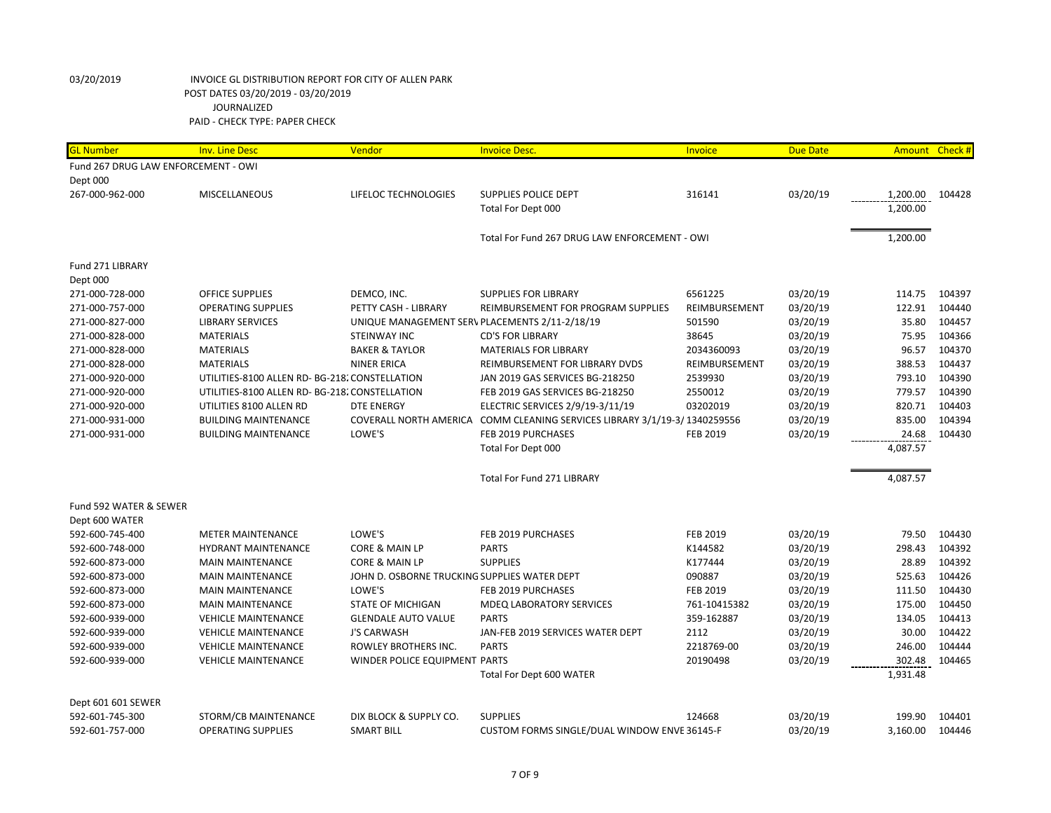| <b>GL Number</b>                    | <b>Inv. Line Desc</b>                          | Vendor                                         | <b>Invoice Desc.</b>                                                      | Invoice         | <b>Due Date</b> | Amount Check # |        |
|-------------------------------------|------------------------------------------------|------------------------------------------------|---------------------------------------------------------------------------|-----------------|-----------------|----------------|--------|
| Fund 267 DRUG LAW ENFORCEMENT - OWI |                                                |                                                |                                                                           |                 |                 |                |        |
| Dept 000                            |                                                |                                                |                                                                           |                 |                 |                |        |
| 267-000-962-000                     | <b>MISCELLANEOUS</b>                           | LIFELOC TECHNOLOGIES                           | SUPPLIES POLICE DEPT                                                      | 316141          | 03/20/19        | 1,200.00       | 104428 |
|                                     |                                                |                                                | Total For Dept 000                                                        |                 |                 | 1,200.00       |        |
|                                     |                                                |                                                |                                                                           |                 |                 |                |        |
|                                     |                                                |                                                | Total For Fund 267 DRUG LAW ENFORCEMENT - OWI                             |                 |                 | 1,200.00       |        |
|                                     |                                                |                                                |                                                                           |                 |                 |                |        |
| Fund 271 LIBRARY                    |                                                |                                                |                                                                           |                 |                 |                |        |
| Dept 000                            |                                                |                                                |                                                                           |                 |                 |                |        |
| 271-000-728-000                     | <b>OFFICE SUPPLIES</b>                         | DEMCO, INC.                                    | <b>SUPPLIES FOR LIBRARY</b>                                               | 6561225         | 03/20/19        | 114.75         | 104397 |
| 271-000-757-000                     | <b>OPERATING SUPPLIES</b>                      | PETTY CASH - LIBRARY                           | REIMBURSEMENT FOR PROGRAM SUPPLIES                                        | REIMBURSEMENT   | 03/20/19        | 122.91         | 104440 |
| 271-000-827-000                     | <b>LIBRARY SERVICES</b>                        | UNIQUE MANAGEMENT SERV PLACEMENTS 2/11-2/18/19 |                                                                           | 501590          | 03/20/19        | 35.80          | 104457 |
| 271-000-828-000                     | <b>MATERIALS</b>                               | <b>STEINWAY INC</b>                            | <b>CD'S FOR LIBRARY</b>                                                   | 38645           | 03/20/19        | 75.95          | 104366 |
| 271-000-828-000                     | <b>MATERIALS</b>                               | <b>BAKER &amp; TAYLOR</b>                      | <b>MATERIALS FOR LIBRARY</b>                                              | 2034360093      | 03/20/19        | 96.57          | 104370 |
| 271-000-828-000                     | <b>MATERIALS</b>                               | <b>NINER ERICA</b>                             | REIMBURSEMENT FOR LIBRARY DVDS                                            | REIMBURSEMENT   | 03/20/19        | 388.53         | 104437 |
| 271-000-920-000                     | UTILITIES-8100 ALLEN RD- BG-218. CONSTELLATION |                                                | JAN 2019 GAS SERVICES BG-218250                                           | 2539930         | 03/20/19        | 793.10         | 104390 |
| 271-000-920-000                     | UTILITIES-8100 ALLEN RD- BG-218. CONSTELLATION |                                                | FEB 2019 GAS SERVICES BG-218250                                           | 2550012         | 03/20/19        | 779.57         | 104390 |
| 271-000-920-000                     | UTILITIES 8100 ALLEN RD                        | <b>DTE ENERGY</b>                              | ELECTRIC SERVICES 2/9/19-3/11/19                                          | 03202019        | 03/20/19        | 820.71         | 104403 |
| 271-000-931-000                     | <b>BUILDING MAINTENANCE</b>                    |                                                | COVERALL NORTH AMERICA COMM CLEANING SERVICES LIBRARY 3/1/19-3/1340259556 |                 | 03/20/19        | 835.00         | 104394 |
| 271-000-931-000                     | <b>BUILDING MAINTENANCE</b>                    | LOWE'S                                         | FEB 2019 PURCHASES                                                        | <b>FEB 2019</b> | 03/20/19        | 24.68          | 104430 |
|                                     |                                                |                                                | Total For Dept 000                                                        |                 |                 | 4,087.57       |        |
|                                     |                                                |                                                | Total For Fund 271 LIBRARY                                                |                 |                 | 4,087.57       |        |
| Fund 592 WATER & SEWER              |                                                |                                                |                                                                           |                 |                 |                |        |
| Dept 600 WATER                      |                                                |                                                |                                                                           |                 |                 |                |        |
| 592-600-745-400                     | <b>METER MAINTENANCE</b>                       | LOWE'S                                         | FEB 2019 PURCHASES                                                        | FEB 2019        | 03/20/19        | 79.50          | 104430 |
| 592-600-748-000                     | <b>HYDRANT MAINTENANCE</b>                     | CORE & MAIN LP                                 | <b>PARTS</b>                                                              | K144582         | 03/20/19        | 298.43         | 104392 |
| 592-600-873-000                     | <b>MAIN MAINTENANCE</b>                        | CORE & MAIN LP                                 | <b>SUPPLIES</b>                                                           | K177444         | 03/20/19        | 28.89          | 104392 |
| 592-600-873-000                     | <b>MAIN MAINTENANCE</b>                        | JOHN D. OSBORNE TRUCKING SUPPLIES WATER DEPT   |                                                                           | 090887          | 03/20/19        | 525.63         | 104426 |
| 592-600-873-000                     | <b>MAIN MAINTENANCE</b>                        | LOWE'S                                         | FEB 2019 PURCHASES                                                        | <b>FEB 2019</b> | 03/20/19        | 111.50         | 104430 |
| 592-600-873-000                     | <b>MAIN MAINTENANCE</b>                        | <b>STATE OF MICHIGAN</b>                       | MDEQ LABORATORY SERVICES                                                  | 761-10415382    | 03/20/19        | 175.00         | 104450 |
| 592-600-939-000                     | <b>VEHICLE MAINTENANCE</b>                     | <b>GLENDALE AUTO VALUE</b>                     | <b>PARTS</b>                                                              | 359-162887      | 03/20/19        | 134.05         | 104413 |
| 592-600-939-000                     | <b>VEHICLE MAINTENANCE</b>                     | <b>J'S CARWASH</b>                             | JAN-FEB 2019 SERVICES WATER DEPT                                          | 2112            | 03/20/19        | 30.00          | 104422 |
| 592-600-939-000                     | <b>VEHICLE MAINTENANCE</b>                     | ROWLEY BROTHERS INC.                           | <b>PARTS</b>                                                              | 2218769-00      | 03/20/19        | 246.00         | 104444 |
| 592-600-939-000                     | <b>VEHICLE MAINTENANCE</b>                     | WINDER POLICE EQUIPMENT PARTS                  |                                                                           | 20190498        | 03/20/19        | 302.48         | 104465 |
|                                     |                                                |                                                | Total For Dept 600 WATER                                                  |                 |                 | 1,931.48       |        |
|                                     |                                                |                                                |                                                                           |                 |                 |                |        |
| Dept 601 601 SEWER                  |                                                |                                                |                                                                           |                 |                 |                |        |
| 592-601-745-300                     | STORM/CB MAINTENANCE                           | DIX BLOCK & SUPPLY CO.                         | <b>SUPPLIES</b>                                                           | 124668          | 03/20/19        | 199.90         | 104401 |
| 592-601-757-000                     | <b>OPERATING SUPPLIES</b>                      | <b>SMART BILL</b>                              | CUSTOM FORMS SINGLE/DUAL WINDOW ENVE 36145-F                              |                 | 03/20/19        | 3,160.00       | 104446 |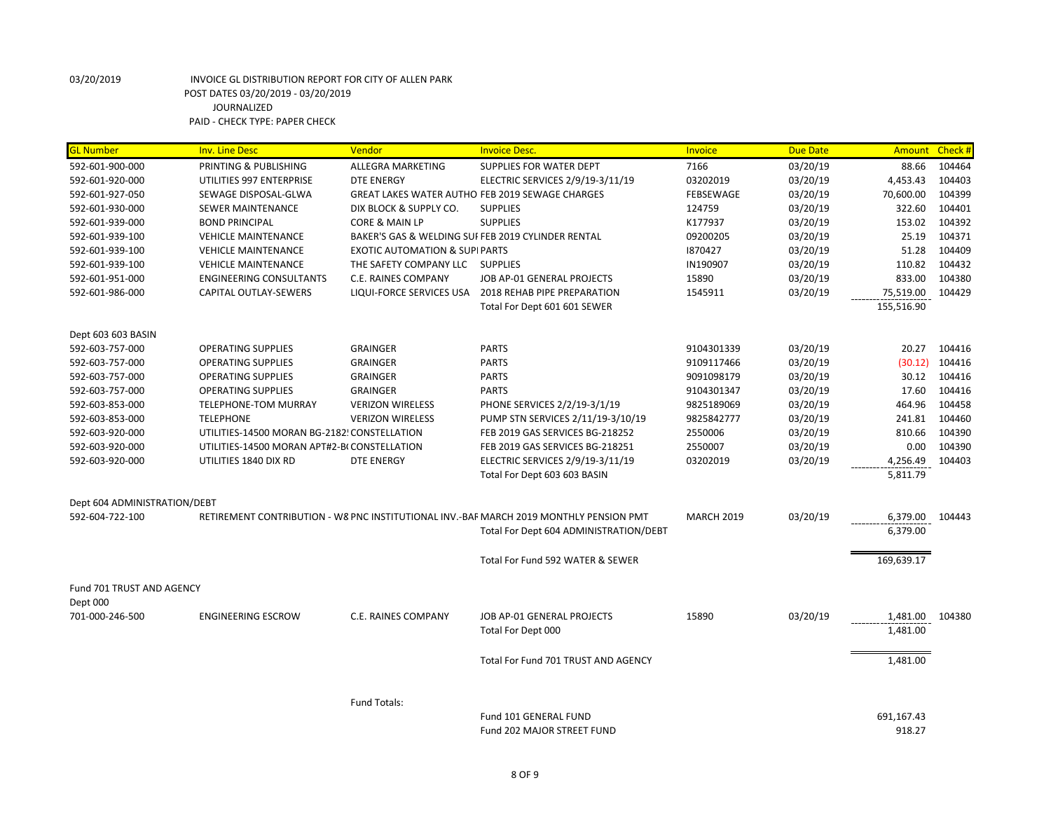| <b>GL Number</b>             | <b>Inv. Line Desc</b>                        | Vendor                                   | <b>Invoice Desc.</b>                                                                   | Invoice           | <b>Due Date</b> | Amount Check #       |        |
|------------------------------|----------------------------------------------|------------------------------------------|----------------------------------------------------------------------------------------|-------------------|-----------------|----------------------|--------|
| 592-601-900-000              | PRINTING & PUBLISHING                        | <b>ALLEGRA MARKETING</b>                 | <b>SUPPLIES FOR WATER DEPT</b>                                                         | 7166              | 03/20/19        | 88.66                | 104464 |
| 592-601-920-000              | UTILITIES 997 ENTERPRISE                     | <b>DTE ENERGY</b>                        | ELECTRIC SERVICES 2/9/19-3/11/19                                                       | 03202019          | 03/20/19        | 4,453.43             | 104403 |
| 592-601-927-050              | SEWAGE DISPOSAL-GLWA                         |                                          | GREAT LAKES WATER AUTHO FEB 2019 SEWAGE CHARGES                                        | FEBSEWAGE         | 03/20/19        | 70,600.00            | 104399 |
| 592-601-930-000              | <b>SEWER MAINTENANCE</b>                     | DIX BLOCK & SUPPLY CO.                   | <b>SUPPLIES</b>                                                                        | 124759            | 03/20/19        | 322.60               | 104401 |
| 592-601-939-000              | <b>BOND PRINCIPAL</b>                        | CORE & MAIN LP                           | <b>SUPPLIES</b>                                                                        | K177937           | 03/20/19        | 153.02               | 104392 |
| 592-601-939-100              | <b>VEHICLE MAINTENANCE</b>                   |                                          | BAKER'S GAS & WELDING SUI FEB 2019 CYLINDER RENTAL                                     | 09200205          | 03/20/19        | 25.19                | 104371 |
| 592-601-939-100              | <b>VEHICLE MAINTENANCE</b>                   | <b>EXOTIC AUTOMATION &amp; SUPIPARTS</b> |                                                                                        | 1870427           | 03/20/19        | 51.28                | 104409 |
| 592-601-939-100              | <b>VEHICLE MAINTENANCE</b>                   | THE SAFETY COMPANY LLC SUPPLIES          |                                                                                        | IN190907          | 03/20/19        | 110.82               | 104432 |
| 592-601-951-000              | <b>ENGINEERING CONSULTANTS</b>               | <b>C.E. RAINES COMPANY</b>               | JOB AP-01 GENERAL PROJECTS                                                             | 15890             | 03/20/19        | 833.00               | 104380 |
| 592-601-986-000              | CAPITAL OUTLAY-SEWERS                        |                                          | LIQUI-FORCE SERVICES USA 2018 REHAB PIPE PREPARATION                                   | 1545911           | 03/20/19        | 75,519.00            | 104429 |
|                              |                                              |                                          | Total For Dept 601 601 SEWER                                                           |                   |                 | 155,516.90           |        |
| Dept 603 603 BASIN           |                                              |                                          |                                                                                        |                   |                 |                      |        |
| 592-603-757-000              | <b>OPERATING SUPPLIES</b>                    | <b>GRAINGER</b>                          | <b>PARTS</b>                                                                           | 9104301339        | 03/20/19        | 20.27                | 104416 |
| 592-603-757-000              | <b>OPERATING SUPPLIES</b>                    | <b>GRAINGER</b>                          | <b>PARTS</b>                                                                           | 9109117466        | 03/20/19        | (30.12)              | 104416 |
| 592-603-757-000              | <b>OPERATING SUPPLIES</b>                    | <b>GRAINGER</b>                          | <b>PARTS</b>                                                                           | 9091098179        | 03/20/19        | 30.12                | 104416 |
| 592-603-757-000              | <b>OPERATING SUPPLIES</b>                    | <b>GRAINGER</b>                          | <b>PARTS</b>                                                                           | 9104301347        | 03/20/19        | 17.60                | 104416 |
| 592-603-853-000              | <b>TELEPHONE-TOM MURRAY</b>                  | <b>VERIZON WIRELESS</b>                  | PHONE SERVICES 2/2/19-3/1/19                                                           | 9825189069        | 03/20/19        | 464.96               | 104458 |
| 592-603-853-000              | <b>TELEPHONE</b>                             | <b>VERIZON WIRELESS</b>                  | PUMP STN SERVICES 2/11/19-3/10/19                                                      | 9825842777        | 03/20/19        | 241.81               | 104460 |
| 592-603-920-000              | UTILITIES-14500 MORAN BG-2182! CONSTELLATION |                                          | FEB 2019 GAS SERVICES BG-218252                                                        | 2550006           | 03/20/19        | 810.66               | 104390 |
| 592-603-920-000              | UTILITIES-14500 MORAN APT#2-BI CONSTELLATION |                                          | FEB 2019 GAS SERVICES BG-218251                                                        | 2550007           | 03/20/19        | 0.00                 | 104390 |
| 592-603-920-000              | UTILITIES 1840 DIX RD                        | <b>DTE ENERGY</b>                        | ELECTRIC SERVICES 2/9/19-3/11/19                                                       | 03202019          | 03/20/19        | 4,256.49             | 104403 |
|                              |                                              |                                          | Total For Dept 603 603 BASIN                                                           |                   |                 | 5,811.79             |        |
| Dept 604 ADMINISTRATION/DEBT |                                              |                                          |                                                                                        |                   |                 |                      |        |
| 592-604-722-100              |                                              |                                          | RETIREMENT CONTRIBUTION - W8 PNC INSTITUTIONAL INV.-BAF MARCH 2019 MONTHLY PENSION PMT | <b>MARCH 2019</b> | 03/20/19        | 6,379.00             | 104443 |
|                              |                                              |                                          | Total For Dept 604 ADMINISTRATION/DEBT                                                 |                   |                 | 6,379.00             |        |
|                              |                                              |                                          | Total For Fund 592 WATER & SEWER                                                       |                   |                 | 169,639.17           |        |
| Fund 701 TRUST AND AGENCY    |                                              |                                          |                                                                                        |                   |                 |                      |        |
| Dept 000                     |                                              |                                          |                                                                                        |                   |                 |                      |        |
| 701-000-246-500              | <b>ENGINEERING ESCROW</b>                    | <b>C.E. RAINES COMPANY</b>               | JOB AP-01 GENERAL PROJECTS                                                             | 15890             | 03/20/19        | 1,481.00             | 104380 |
|                              |                                              |                                          | Total For Dept 000                                                                     |                   |                 | 1,481.00             |        |
|                              |                                              |                                          | Total For Fund 701 TRUST AND AGENCY                                                    |                   |                 | 1,481.00             |        |
|                              |                                              |                                          |                                                                                        |                   |                 |                      |        |
|                              |                                              | Fund Totals:                             | Fund 101 GENERAL FUND                                                                  |                   |                 |                      |        |
|                              |                                              |                                          | Fund 202 MAJOR STREET FUND                                                             |                   |                 | 691,167.43<br>918.27 |        |